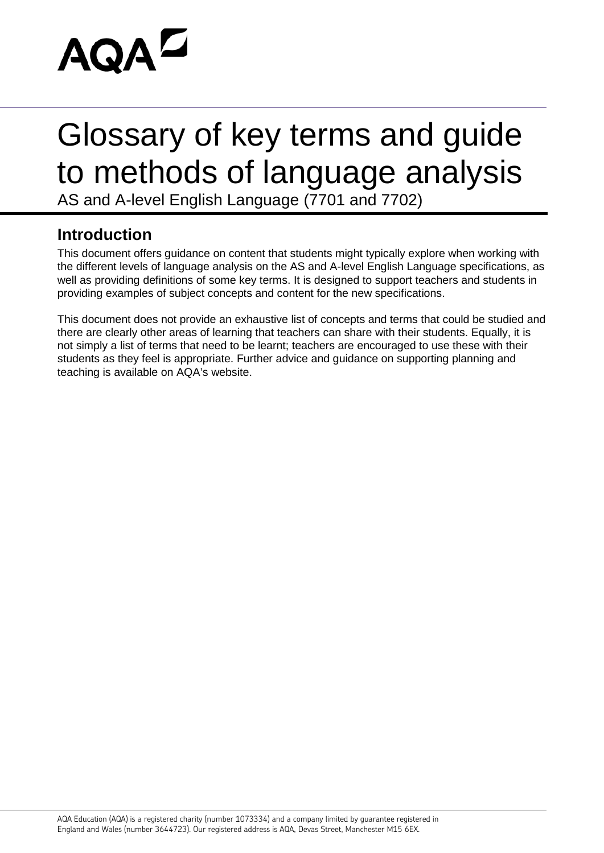

# Glossary of key terms and guide to methods of language analysis

AS and A-level English Language (7701 and 7702)

## **Introduction**

This document offers guidance on content that students might typically explore when working with the different levels of language analysis on the AS and A-level English Language specifications, as well as providing definitions of some key terms. It is designed to support teachers and students in providing examples of subject concepts and content for the new specifications.

This document does not provide an exhaustive list of concepts and terms that could be studied and there are clearly other areas of learning that teachers can share with their students. Equally, it is not simply a list of terms that need to be learnt; teachers are encouraged to use these with their students as they feel is appropriate. Further advice and guidance on supporting planning and teaching is available on AQA's website.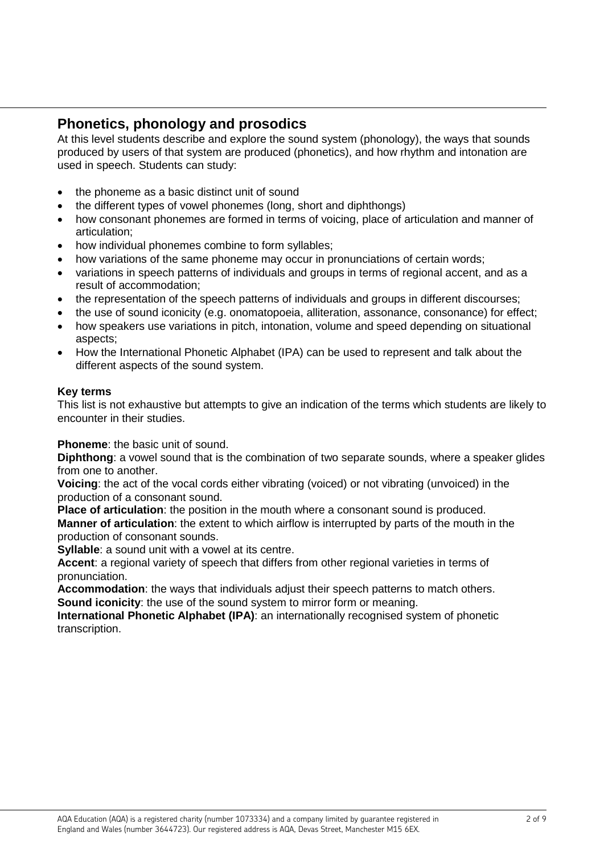## **Phonetics, phonology and prosodics**

At this level students describe and explore the sound system (phonology), the ways that sounds produced by users of that system are produced (phonetics), and how rhythm and intonation are used in speech. Students can study:

- the phoneme as a basic distinct unit of sound
- the different types of vowel phonemes (long, short and diphthongs)
- how consonant phonemes are formed in terms of voicing, place of articulation and manner of articulation;
- how individual phonemes combine to form syllables;
- how variations of the same phoneme may occur in pronunciations of certain words;
- variations in speech patterns of individuals and groups in terms of regional accent, and as a result of accommodation;
- the representation of the speech patterns of individuals and groups in different discourses;
- the use of sound iconicity (e.g. onomatopoeia, alliteration, assonance, consonance) for effect;
- how speakers use variations in pitch, intonation, volume and speed depending on situational aspects;
- How the International Phonetic Alphabet (IPA) can be used to represent and talk about the different aspects of the sound system.

#### **Key terms**

This list is not exhaustive but attempts to give an indication of the terms which students are likely to encounter in their studies.

**Phoneme**: the basic unit of sound.

**Diphthong**: a vowel sound that is the combination of two separate sounds, where a speaker glides from one to another.

**Voicing**: the act of the vocal cords either vibrating (voiced) or not vibrating (unvoiced) in the production of a consonant sound.

**Place of articulation**: the position in the mouth where a consonant sound is produced. **Manner of articulation**: the extent to which airflow is interrupted by parts of the mouth in the production of consonant sounds.

**Syllable:** a sound unit with a vowel at its centre.

**Accent**: a regional variety of speech that differs from other regional varieties in terms of pronunciation.

**Accommodation**: the ways that individuals adjust their speech patterns to match others. **Sound iconicity**: the use of the sound system to mirror form or meaning.

**International Phonetic Alphabet (IPA)**: an internationally recognised system of phonetic transcription.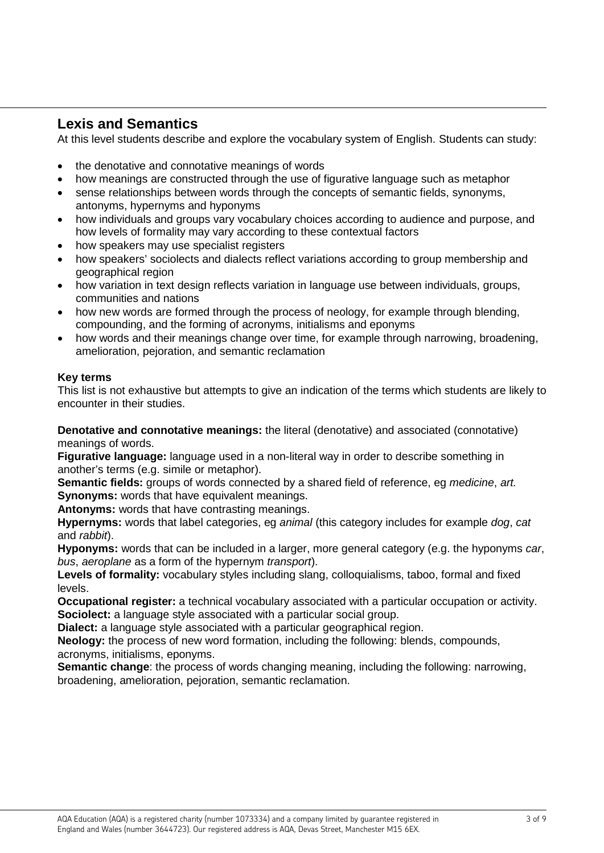## **Lexis and Semantics**

At this level students describe and explore the vocabulary system of English. Students can study:

- the denotative and connotative meanings of words
- how meanings are constructed through the use of figurative language such as metaphor
- sense relationships between words through the concepts of semantic fields, synonyms, antonyms, hypernyms and hyponyms
- how individuals and groups vary vocabulary choices according to audience and purpose, and how levels of formality may vary according to these contextual factors
- how speakers may use specialist registers
- how speakers' sociolects and dialects reflect variations according to group membership and geographical region
- how variation in text design reflects variation in language use between individuals, groups, communities and nations
- how new words are formed through the process of neology, for example through blending, compounding, and the forming of acronyms, initialisms and eponyms
- how words and their meanings change over time, for example through narrowing, broadening, amelioration, pejoration, and semantic reclamation

#### **Key terms**

This list is not exhaustive but attempts to give an indication of the terms which students are likely to encounter in their studies.

**Denotative and connotative meanings:** the literal (denotative) and associated (connotative) meanings of words.

**Figurative language:** language used in a non-literal way in order to describe something in another's terms (e.g. simile or metaphor).

**Semantic fields:** groups of words connected by a shared field of reference, eg *medicine*, *art.* **Synonyms:** words that have equivalent meanings.

**Antonyms:** words that have contrasting meanings.

**Hypernyms:** words that label categories, eg *animal* (this category includes for example *dog*, *cat* and *rabbit*).

**Hyponyms:** words that can be included in a larger, more general category (e.g. the hyponyms *car*, *bus*, *aeroplane* as a form of the hypernym *transport*).

**Levels of formality:** vocabulary styles including slang, colloquialisms, taboo, formal and fixed levels.

**Occupational register:** a technical vocabulary associated with a particular occupation or activity. **Sociolect:** a language style associated with a particular social group.

**Dialect:** a language style associated with a particular geographical region.

**Neology:** the process of new word formation, including the following: blends, compounds, acronyms, initialisms, eponyms.

**Semantic change**: the process of words changing meaning, including the following: narrowing, broadening, amelioration, pejoration, semantic reclamation.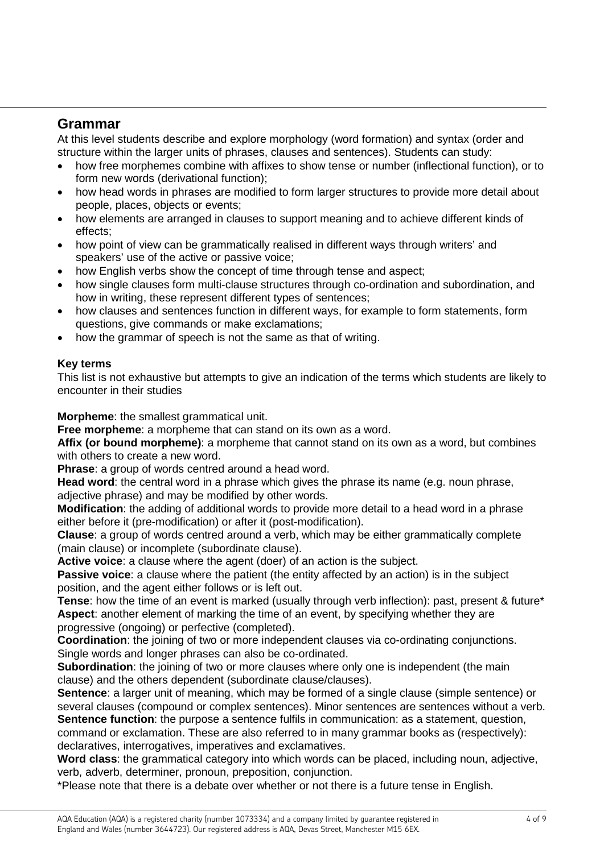## **Grammar**

At this level students describe and explore morphology (word formation) and syntax (order and structure within the larger units of phrases, clauses and sentences). Students can study:

- how free morphemes combine with affixes to show tense or number (inflectional function), or to form new words (derivational function);
- how head words in phrases are modified to form larger structures to provide more detail about people, places, objects or events;
- how elements are arranged in clauses to support meaning and to achieve different kinds of effects;
- how point of view can be grammatically realised in different ways through writers' and speakers' use of the active or passive voice;
- how English verbs show the concept of time through tense and aspect;
- how single clauses form multi-clause structures through co-ordination and subordination, and how in writing, these represent different types of sentences;
- how clauses and sentences function in different ways, for example to form statements, form questions, give commands or make exclamations;
- how the grammar of speech is not the same as that of writing.

#### **Key terms**

This list is not exhaustive but attempts to give an indication of the terms which students are likely to encounter in their studies

**Morpheme:** the smallest grammatical unit.

**Free morpheme**: a morpheme that can stand on its own as a word.

**Affix (or bound morpheme)**: a morpheme that cannot stand on its own as a word, but combines with others to create a new word.

**Phrase**: a group of words centred around a head word.

**Head word**: the central word in a phrase which gives the phrase its name (e.g. noun phrase, adjective phrase) and may be modified by other words.

**Modification**: the adding of additional words to provide more detail to a head word in a phrase either before it (pre-modification) or after it (post-modification).

**Clause**: a group of words centred around a verb, which may be either grammatically complete (main clause) or incomplete (subordinate clause).

**Active voice**: a clause where the agent (doer) of an action is the subject.

**Passive voice:** a clause where the patient (the entity affected by an action) is in the subject position, and the agent either follows or is left out.

**Tense**: how the time of an event is marked (usually through verb inflection): past, present & future\* **Aspect**: another element of marking the time of an event, by specifying whether they are progressive (ongoing) or perfective (completed).

**Coordination**: the joining of two or more independent clauses via co-ordinating conjunctions. Single words and longer phrases can also be co-ordinated.

**Subordination**: the joining of two or more clauses where only one is independent (the main clause) and the others dependent (subordinate clause/clauses).

**Sentence**: a larger unit of meaning, which may be formed of a single clause (simple sentence) or several clauses (compound or complex sentences). Minor sentences are sentences without a verb. **Sentence function**: the purpose a sentence fulfils in communication: as a statement, question,

command or exclamation. These are also referred to in many grammar books as (respectively): declaratives, interrogatives, imperatives and exclamatives.

**Word class**: the grammatical category into which words can be placed, including noun, adjective, verb, adverb, determiner, pronoun, preposition, conjunction.

\*Please note that there is a debate over whether or not there is a future tense in English.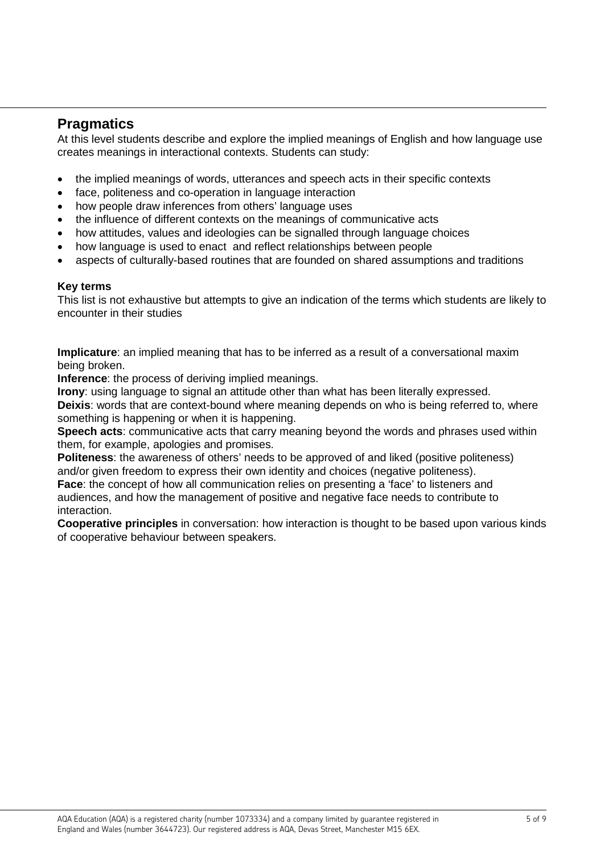## **Pragmatics**

At this level students describe and explore the implied meanings of English and how language use creates meanings in interactional contexts. Students can study:

- the implied meanings of words, utterances and speech acts in their specific contexts
- face, politeness and co-operation in language interaction
- how people draw inferences from others' language uses
- the influence of different contexts on the meanings of communicative acts
- how attitudes, values and ideologies can be signalled through language choices
- how language is used to enact and reflect relationships between people
- aspects of culturally-based routines that are founded on shared assumptions and traditions

#### **Key terms**

This list is not exhaustive but attempts to give an indication of the terms which students are likely to encounter in their studies

**Implicature**: an implied meaning that has to be inferred as a result of a conversational maxim being broken.

**Inference**: the process of deriving implied meanings.

**Irony:** using language to signal an attitude other than what has been literally expressed.

**Deixis**: words that are context-bound where meaning depends on who is being referred to, where something is happening or when it is happening.

**Speech acts**: communicative acts that carry meaning beyond the words and phrases used within them, for example, apologies and promises.

**Politeness**: the awareness of others' needs to be approved of and liked (positive politeness) and/or given freedom to express their own identity and choices (negative politeness).

**Face:** the concept of how all communication relies on presenting a 'face' to listeners and audiences, and how the management of positive and negative face needs to contribute to interaction.

**Cooperative principles** in conversation: how interaction is thought to be based upon various kinds of cooperative behaviour between speakers.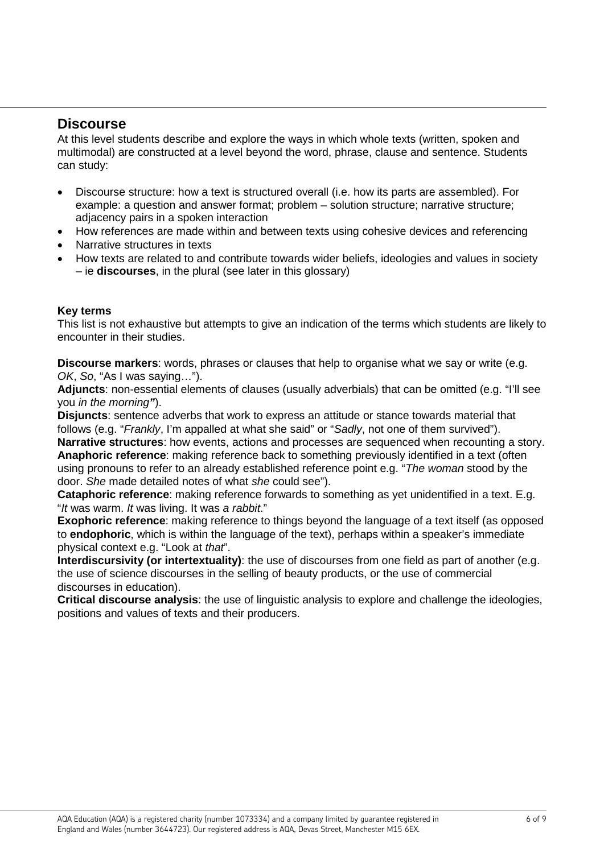### **Discourse**

At this level students describe and explore the ways in which whole texts (written, spoken and multimodal) are constructed at a level beyond the word, phrase, clause and sentence. Students can study:

- Discourse structure: how a text is structured overall (i.e. how its parts are assembled). For example: a question and answer format; problem – solution structure; narrative structure; adjacency pairs in a spoken interaction
- How references are made within and between texts using cohesive devices and referencing
- Narrative structures in texts
- How texts are related to and contribute towards wider beliefs, ideologies and values in society – ie **discourses**, in the plural (see later in this glossary)

#### **Key terms**

This list is not exhaustive but attempts to give an indication of the terms which students are likely to encounter in their studies.

**Discourse markers**: words, phrases or clauses that help to organise what we say or write (e.g. *OK*, *So*, "As I was saying…").

**Adjuncts**: non-essential elements of clauses (usually adverbials) that can be omitted (e.g. "I'll see you *in the morning"*).

**Disjuncts**: sentence adverbs that work to express an attitude or stance towards material that follows (e.g. "*Frankly*, I'm appalled at what she said" or "*Sadly*, not one of them survived"). **Narrative structures**: how events, actions and processes are sequenced when recounting a story. **Anaphoric reference**: making reference back to something previously identified in a text (often using pronouns to refer to an already established reference point e.g. "*The woman* stood by the door. *She* made detailed notes of what *she* could see").

**Cataphoric reference**: making reference forwards to something as yet unidentified in a text. E.g. "*It* was warm. *It* was living. It was *a rabbit*."

**Exophoric reference**: making reference to things beyond the language of a text itself (as opposed to **endophoric**, which is within the language of the text), perhaps within a speaker's immediate physical context e.g. "Look at *that*".

**Interdiscursivity (or intertextuality)**: the use of discourses from one field as part of another (e.g. the use of science discourses in the selling of beauty products, or the use of commercial discourses in education).

**Critical discourse analysis**: the use of linguistic analysis to explore and challenge the ideologies, positions and values of texts and their producers.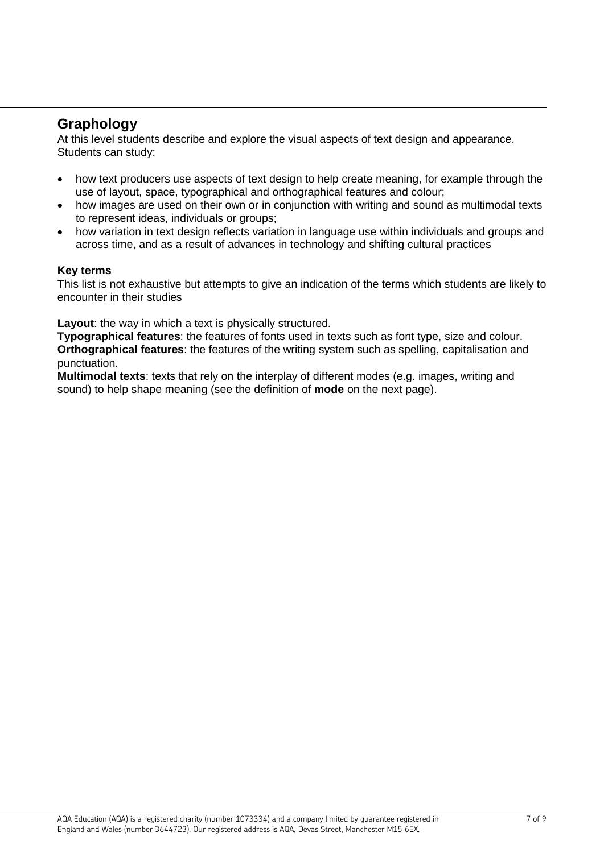## **Graphology**

At this level students describe and explore the visual aspects of text design and appearance. Students can study:

- how text producers use aspects of text design to help create meaning, for example through the use of layout, space, typographical and orthographical features and colour;
- how images are used on their own or in conjunction with writing and sound as multimodal texts to represent ideas, individuals or groups;
- how variation in text design reflects variation in language use within individuals and groups and across time, and as a result of advances in technology and shifting cultural practices

#### **Key terms**

This list is not exhaustive but attempts to give an indication of the terms which students are likely to encounter in their studies

**Layout**: the way in which a text is physically structured.

**Typographical features**: the features of fonts used in texts such as font type, size and colour. **Orthographical features**: the features of the writing system such as spelling, capitalisation and punctuation.

**Multimodal texts**: texts that rely on the interplay of different modes (e.g. images, writing and sound) to help shape meaning (see the definition of **mode** on the next page).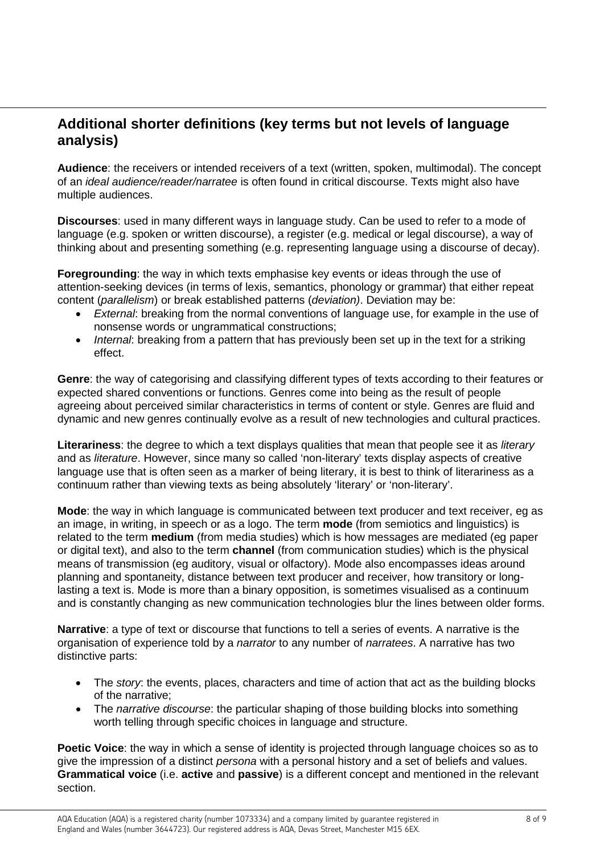## **Additional shorter definitions (key terms but not levels of language analysis)**

**Audience**: the receivers or intended receivers of a text (written, spoken, multimodal). The concept of an *ideal audience/reader/narratee* is often found in critical discourse. Texts might also have multiple audiences.

**Discourses**: used in many different ways in language study. Can be used to refer to a mode of language (e.g. spoken or written discourse), a register (e.g. medical or legal discourse), a way of thinking about and presenting something (e.g. representing language using a discourse of decay).

**Foregrounding**: the way in which texts emphasise key events or ideas through the use of attention-seeking devices (in terms of lexis, semantics, phonology or grammar) that either repeat content (*parallelism*) or break established patterns (*deviation)*. Deviation may be:

- *External*: breaking from the normal conventions of language use, for example in the use of nonsense words or ungrammatical constructions;
- *Internal*: breaking from a pattern that has previously been set up in the text for a striking effect.

**Genre**: the way of categorising and classifying different types of texts according to their features or expected shared conventions or functions. Genres come into being as the result of people agreeing about perceived similar characteristics in terms of content or style. Genres are fluid and dynamic and new genres continually evolve as a result of new technologies and cultural practices.

**Literariness**: the degree to which a text displays qualities that mean that people see it as *literary* and as *literature*. However, since many so called 'non-literary' texts display aspects of creative language use that is often seen as a marker of being literary, it is best to think of literariness as a continuum rather than viewing texts as being absolutely 'literary' or 'non-literary'.

**Mode**: the way in which language is communicated between text producer and text receiver, eg as an image, in writing, in speech or as a logo. The term **mode** (from semiotics and linguistics) is related to the term **medium** (from media studies) which is how messages are mediated (eg paper or digital text), and also to the term **channel** (from communication studies) which is the physical means of transmission (eg auditory, visual or olfactory). Mode also encompasses ideas around planning and spontaneity, distance between text producer and receiver, how transitory or longlasting a text is. Mode is more than a binary opposition, is sometimes visualised as a continuum and is constantly changing as new communication technologies blur the lines between older forms.

**Narrative**: a type of text or discourse that functions to tell a series of events. A narrative is the organisation of experience told by a *narrator* to any number of *narratees*. A narrative has two distinctive parts:

- The *story*: the events, places, characters and time of action that act as the building blocks of the narrative;
- The *narrative discourse*: the particular shaping of those building blocks into something worth telling through specific choices in language and structure.

**Poetic Voice**: the way in which a sense of identity is projected through language choices so as to give the impression of a distinct *persona* with a personal history and a set of beliefs and values. **Grammatical voice** (i.e. **active** and **passive**) is a different concept and mentioned in the relevant section.